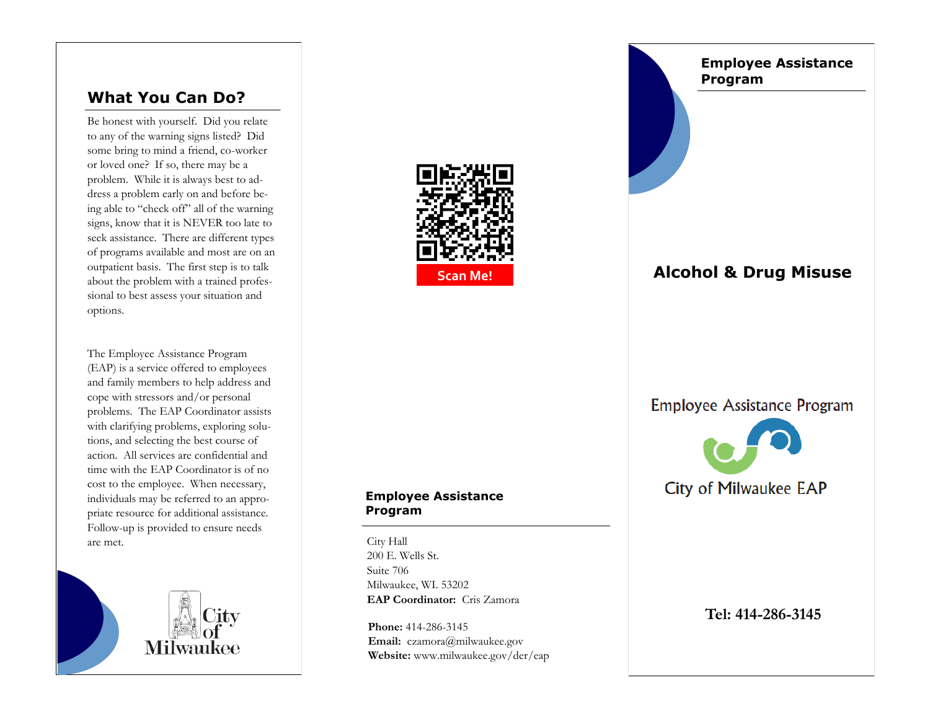# **What You Can Do?**

Be honest with yourself. Did you relate to any of the warning signs listed? Did some bring to mind a friend, co-worker or loved one? If so, there may be a problem. While it is always best to address a problem early on and before being able to "check off" all of the warning signs, know that it is NEVER too late to seek assistance. There are different types of programs available and most are on an outpatient basis. The first step is to talk about the problem with a trained professional to best assess your situation and options.

The Employee Assistance Program (EAP) is a service offered to employees and family members to help address and cope with stressors and/or personal problems. The EAP Coordinator assists with clarifying problems, exploring solutions, and selecting the best course of action. All services are confidential and time with the EAP Coordinator is of no cost to the employee. When necessary, individuals may be referred to an appropriate resource for additional assistance. Follow-up is provided to ensure needs are met.





# **Employee Assistance Program Alcohol & Drug Misuse Employee Assistance Program** City of Milwaukee EAP

### **Employee Assistance Program**

City Hall 200 E. Wells St. Suite 706 Milwaukee, WI. 53202 **EAP Coordinator:** Cris Zamora

**Phone:** 414-286-3145 **Email:** czamora@milwaukee.gov **Website:** www.milwaukee.gov/der/eap

### **Tel: 414-286-3145**